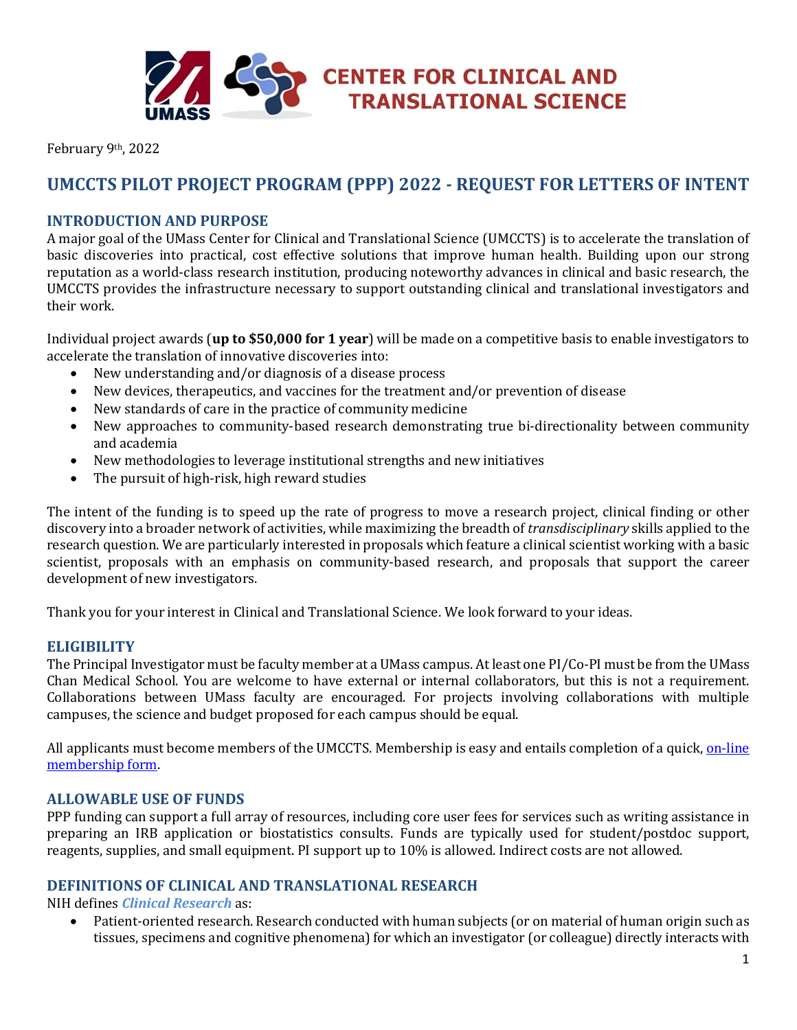

February 9th, 2022

# **UMCCTS PILOT PROJECT PROGRAM (PPP) 2022 - REQUEST FOR LETTERS OF INTENT**

# **INTRODUCTION AND PURPOSE**

A major goal of the UMass Center for Clinical and Translational Science (UMCCTS) is to accelerate the translation of basic discoveries into practical, cost effective solutions that improve human health. Building upon our strong reputation as a world-class research institution, producing noteworthy advances in clinical and basic research, the UMCCTS provides the infrastructure necessary to support outstanding clinical and translational investigators and their work.

Individual project awards (**up to \$50,000 for 1 year**) will be made on a competitive basis to enable investigators to accelerate the translation of innovative discoveries into:

- New understanding and/or diagnosis of a disease process
- New devices, therapeutics, and vaccines for the treatment and/or prevention of disease
- New standards of care in the practice of community medicine
- New approaches to community-based research demonstrating true bi-directionality between community and academia
- New methodologies to leverage institutional strengths and new initiatives
- The pursuit of high-risk, high reward studies

The intent of the funding is to speed up the rate of progress to move a research project, clinical finding or other discovery into a broader network of activities, while maximizing the breadth of *transdisciplinary* skills applied to the research question. We are particularly interested in proposals which feature a clinical scientist working with a basic scientist, proposals with an emphasis on community-based research, and proposals that support the career development of new investigators.

Thank you for your interest in Clinical and Translational Science. We look forward to your ideas.

## **ELIGIBILITY**

The Principal Investigator must be faculty member at a UMass campus. At least one PI/Co-PI must be from the UMass Chan Medical School. You are welcome to have external or internal collaborators, but this is not a requirement. Collaborations between UMass faculty are encouraged. For projects involving collaborations with multiple campuses, the science and budget proposed for each campus should be equal.

All applicants must become members of the UMCCTS. Membership is easy and entails completion of a quick, on-line [membership form.](http://www.umassmed.edu/ccts/about/membership/)

## **ALLOWABLE USE OF FUNDS**

PPP funding can support a full array of resources, including core user fees for services such as writing assistance in preparing an IRB application or biostatistics consults. Funds are typically used for student/postdoc support, reagents, supplies, and small equipment. PI support up to 10% is allowed. Indirect costs are not allowed.

#### **DEFINITIONS OF CLINICAL AND TRANSLATIONAL RESEARCH**

NIH defines *Clinical Research* as:

• Patient-oriented research. Research conducted with human subjects (or on material of human origin such as tissues, specimens and cognitive phenomena) for which an investigator (or colleague) directly interacts with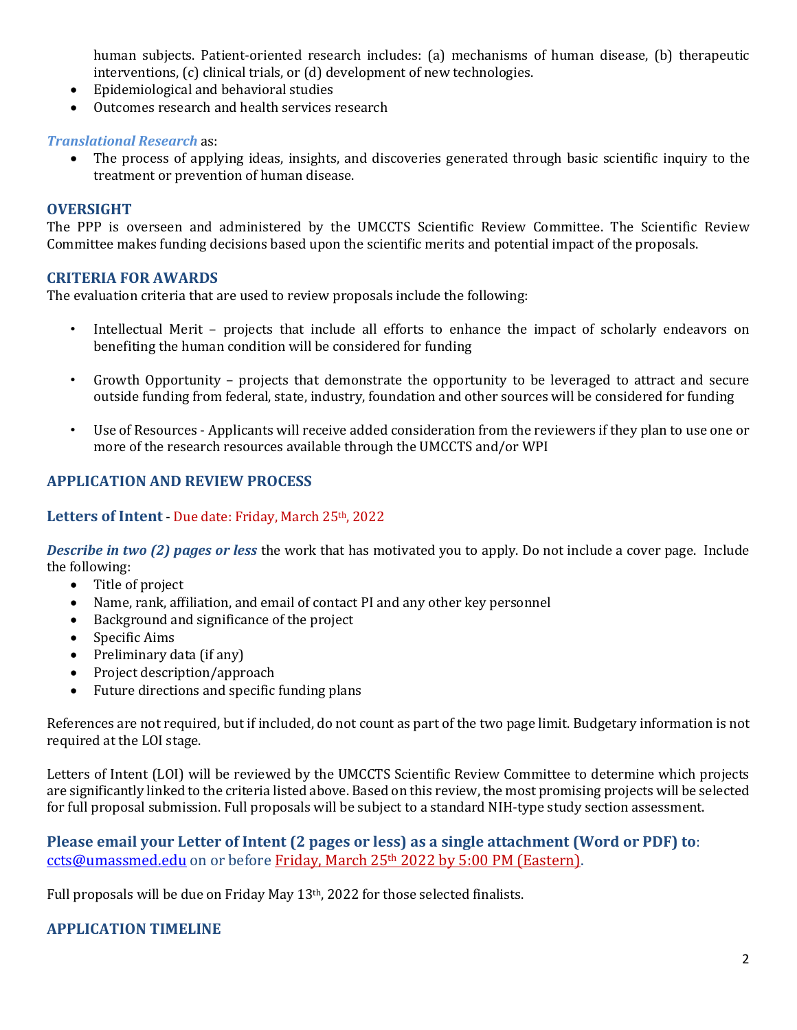human subjects. Patient-oriented research includes: (a) mechanisms of human disease, (b) therapeutic interventions, (c) clinical trials, or (d) development of new technologies.

- Epidemiological and behavioral studies
- Outcomes research and health services research

#### *Translational Research* as:

• The process of applying ideas, insights, and discoveries generated through basic scientific inquiry to the treatment or prevention of human disease.

## **OVERSIGHT**

The PPP is overseen and administered by the UMCCTS Scientific Review Committee. The Scientific Review Committee makes funding decisions based upon the scientific merits and potential impact of the proposals.

#### **CRITERIA FOR AWARDS**

The evaluation criteria that are used to review proposals include the following:

- Intellectual Merit projects that include all efforts to enhance the impact of scholarly endeavors on benefiting the human condition will be considered for funding
- Growth Opportunity projects that demonstrate the opportunity to be leveraged to attract and secure outside funding from federal, state, industry, foundation and other sources will be considered for funding
- Use of Resources Applicants will receive added consideration from the reviewers if they plan to use one or more of the research resources available through the UMCCTS and/or WPI

# **APPLICATION AND REVIEW PROCESS**

## Letters of Intent - Due date: Friday, March 25<sup>th</sup>, 2022

*Describe in two (2) pages or less* the work that has motivated you to apply. Do not include a cover page. Include the following:

- Title of project
- Name, rank, affiliation, and email of contact PI and any other key personnel
- Background and significance of the project
- Specific Aims
- Preliminary data (if any)
- Project description/approach
- Future directions and specific funding plans

References are not required, but if included, do not count as part of the two page limit. Budgetary information is not required at the LOI stage.

Letters of Intent (LOI) will be reviewed by the UMCCTS Scientific Review Committee to determine which projects are significantly linked to the criteria listed above. Based on this review, the most promising projects will be selected for full proposal submission. Full proposals will be subject to a standard NIH-type study section assessment.

# **Please email your Letter of Intent (2 pages or less) as a single attachment (Word or PDF) to**: [ccts@umassmed.edu](mailto:ccts@umassmed.edu) on or before Friday, March 25th 2022 by 5:00 PM (Eastern).

Full proposals will be due on Friday May 13<sup>th</sup>, 2022 for those selected finalists.

## **APPLICATION TIMELINE**